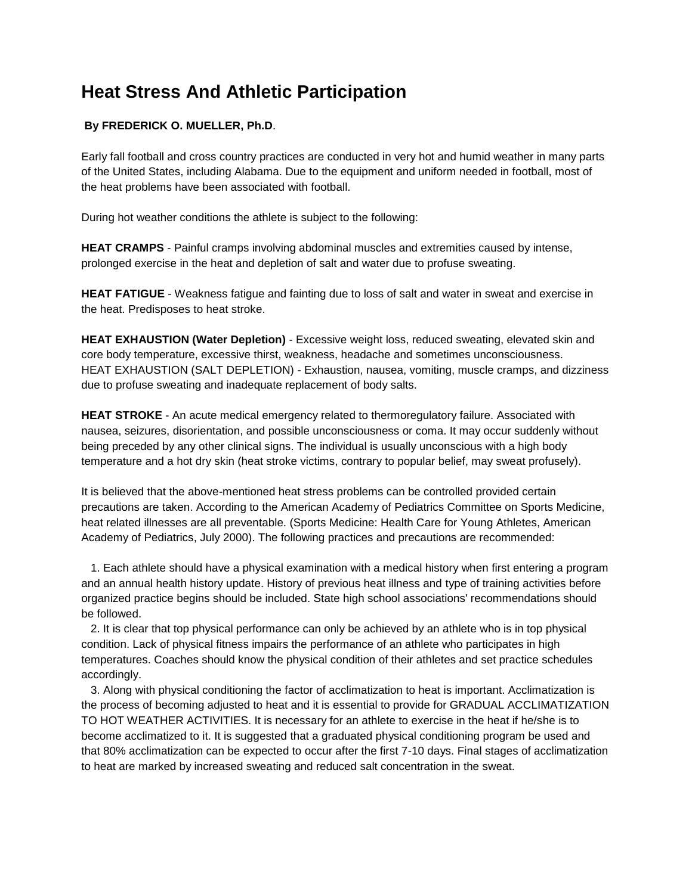## **Heat Stress And Athletic Participation**

## **By FREDERICK O. MUELLER, Ph.D**.

Early fall football and cross country practices are conducted in very hot and humid weather in many parts of the United States, including Alabama. Due to the equipment and uniform needed in football, most of the heat problems have been associated with football.

During hot weather conditions the athlete is subject to the following:

**HEAT CRAMPS** - Painful cramps involving abdominal muscles and extremities caused by intense, prolonged exercise in the heat and depletion of salt and water due to profuse sweating.

**HEAT FATIGUE** - Weakness fatigue and fainting due to loss of salt and water in sweat and exercise in the heat. Predisposes to heat stroke.

**HEAT EXHAUSTION (Water Depletion)** - Excessive weight loss, reduced sweating, elevated skin and core body temperature, excessive thirst, weakness, headache and sometimes unconsciousness. HEAT EXHAUSTION (SALT DEPLETION) - Exhaustion, nausea, vomiting, muscle cramps, and dizziness due to profuse sweating and inadequate replacement of body salts.

**HEAT STROKE** - An acute medical emergency related to thermoregulatory failure. Associated with nausea, seizures, disorientation, and possible unconsciousness or coma. It may occur suddenly without being preceded by any other clinical signs. The individual is usually unconscious with a high body temperature and a hot dry skin (heat stroke victims, contrary to popular belief, may sweat profusely).

It is believed that the above-mentioned heat stress problems can be controlled provided certain precautions are taken. According to the American Academy of Pediatrics Committee on Sports Medicine, heat related illnesses are all preventable. (Sports Medicine: Health Care for Young Athletes, American Academy of Pediatrics, July 2000). The following practices and precautions are recommended:

 1. Each athlete should have a physical examination with a medical history when first entering a program and an annual health history update. History of previous heat illness and type of training activities before organized practice begins should be included. State high school associations' recommendations should be followed.

 2. It is clear that top physical performance can only be achieved by an athlete who is in top physical condition. Lack of physical fitness impairs the performance of an athlete who participates in high temperatures. Coaches should know the physical condition of their athletes and set practice schedules accordingly.

 3. Along with physical conditioning the factor of acclimatization to heat is important. Acclimatization is the process of becoming adjusted to heat and it is essential to provide for GRADUAL ACCLIMATIZATION TO HOT WEATHER ACTIVITIES. It is necessary for an athlete to exercise in the heat if he/she is to become acclimatized to it. It is suggested that a graduated physical conditioning program be used and that 80% acclimatization can be expected to occur after the first 7-10 days. Final stages of acclimatization to heat are marked by increased sweating and reduced salt concentration in the sweat.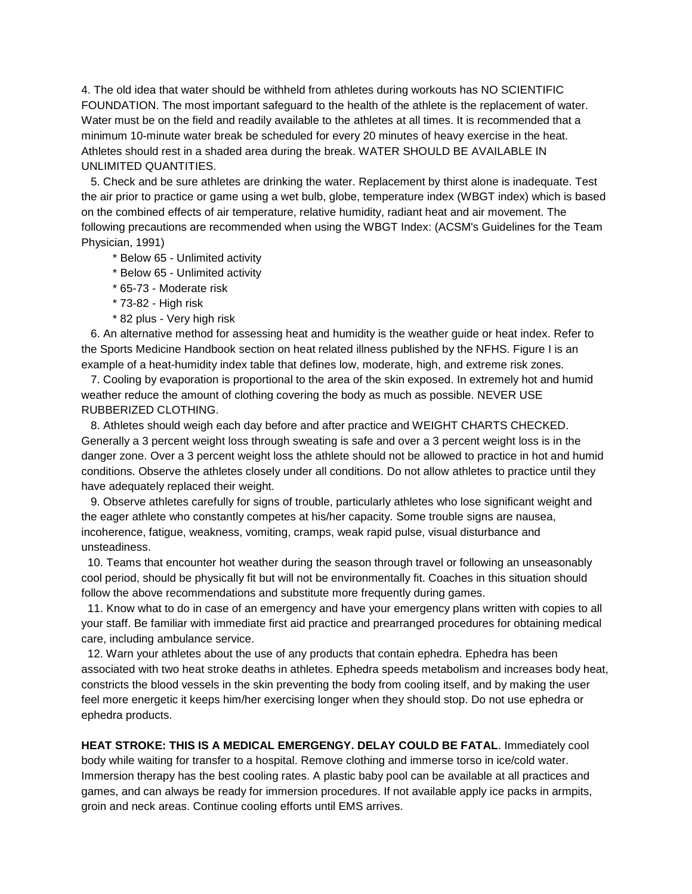4. The old idea that water should be withheld from athletes during workouts has NO SCIENTIFIC FOUNDATION. The most important safeguard to the health of the athlete is the replacement of water. Water must be on the field and readily available to the athletes at all times. It is recommended that a minimum 10-minute water break be scheduled for every 20 minutes of heavy exercise in the heat. Athletes should rest in a shaded area during the break. WATER SHOULD BE AVAILABLE IN UNLIMITED QUANTITIES.

 5. Check and be sure athletes are drinking the water. Replacement by thirst alone is inadequate. Test the air prior to practice or game using a wet bulb, globe, temperature index (WBGT index) which is based on the combined effects of air temperature, relative humidity, radiant heat and air movement. The following precautions are recommended when using the WBGT Index: (ACSM's Guidelines for the Team Physician, 1991)

\* Below 65 - Unlimited activity

\* Below 65 - Unlimited activity

\* 65-73 - Moderate risk

\* 73-82 - High risk

\* 82 plus - Very high risk

 6. An alternative method for assessing heat and humidity is the weather guide or heat index. Refer to the Sports Medicine Handbook section on heat related illness published by the NFHS. Figure I is an example of a heat-humidity index table that defines low, moderate, high, and extreme risk zones.

 7. Cooling by evaporation is proportional to the area of the skin exposed. In extremely hot and humid weather reduce the amount of clothing covering the body as much as possible. NEVER USE RUBBERIZED CLOTHING.

 8. Athletes should weigh each day before and after practice and WEIGHT CHARTS CHECKED. Generally a 3 percent weight loss through sweating is safe and over a 3 percent weight loss is in the danger zone. Over a 3 percent weight loss the athlete should not be allowed to practice in hot and humid conditions. Observe the athletes closely under all conditions. Do not allow athletes to practice until they have adequately replaced their weight.

 9. Observe athletes carefully for signs of trouble, particularly athletes who lose significant weight and the eager athlete who constantly competes at his/her capacity. Some trouble signs are nausea, incoherence, fatigue, weakness, vomiting, cramps, weak rapid pulse, visual disturbance and unsteadiness.

10. Teams that encounter hot weather during the season through travel or following an unseasonably cool period, should be physically fit but will not be environmentally fit. Coaches in this situation should follow the above recommendations and substitute more frequently during games.

11. Know what to do in case of an emergency and have your emergency plans written with copies to all your staff. Be familiar with immediate first aid practice and prearranged procedures for obtaining medical care, including ambulance service.

12. Warn your athletes about the use of any products that contain ephedra. Ephedra has been associated with two heat stroke deaths in athletes. Ephedra speeds metabolism and increases body heat, constricts the blood vessels in the skin preventing the body from cooling itself, and by making the user feel more energetic it keeps him/her exercising longer when they should stop. Do not use ephedra or ephedra products.

**HEAT STROKE: THIS IS A MEDICAL EMERGENGY. DELAY COULD BE FATAL**. Immediately cool body while waiting for transfer to a hospital. Remove clothing and immerse torso in ice/cold water. Immersion therapy has the best cooling rates. A plastic baby pool can be available at all practices and games, and can always be ready for immersion procedures. If not available apply ice packs in armpits, groin and neck areas. Continue cooling efforts until EMS arrives.